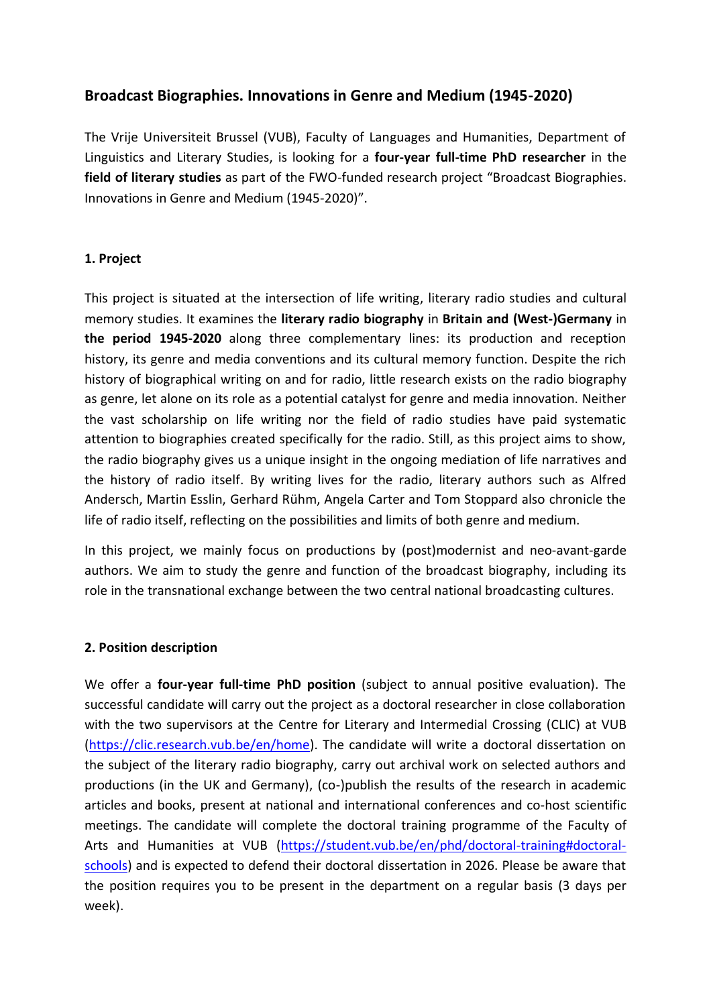# **Broadcast Biographies. Innovations in Genre and Medium (1945-2020)**

The Vrije Universiteit Brussel (VUB), Faculty of Languages and Humanities, Department of Linguistics and Literary Studies, is looking for a **four-year full-time PhD researcher** in the **field of literary studies** as part of the FWO-funded research project "Broadcast Biographies. Innovations in Genre and Medium (1945-2020)".

### **1. Project**

This project is situated at the intersection of life writing, literary radio studies and cultural memory studies. It examines the **literary radio biography** in **Britain and (West-)Germany** in **the period 1945-2020** along three complementary lines: its production and reception history, its genre and media conventions and its cultural memory function. Despite the rich history of biographical writing on and for radio, little research exists on the radio biography as genre, let alone on its role as a potential catalyst for genre and media innovation. Neither the vast scholarship on life writing nor the field of radio studies have paid systematic attention to biographies created specifically for the radio. Still, as this project aims to show, the radio biography gives us a unique insight in the ongoing mediation of life narratives and the history of radio itself. By writing lives for the radio, literary authors such as Alfred Andersch, Martin Esslin, Gerhard Rühm, Angela Carter and Tom Stoppard also chronicle the life of radio itself, reflecting on the possibilities and limits of both genre and medium.

In this project, we mainly focus on productions by (post)modernist and neo-avant-garde authors. We aim to study the genre and function of the broadcast biography, including its role in the transnational exchange between the two central national broadcasting cultures.

#### **2. Position description**

We offer a **four-year full-time PhD position** (subject to annual positive evaluation). The successful candidate will carry out the project as a doctoral researcher in close collaboration with the two supervisors at the Centre for Literary and Intermedial Crossing (CLIC) at VUB [\(https://clic.research.vub.be/en/home\)](https://clic.research.vub.be/en/home). The candidate will write a doctoral dissertation on the subject of the literary radio biography, carry out archival work on selected authors and productions (in the UK and Germany), (co-)publish the results of the research in academic articles and books, present at national and international conferences and co-host scientific meetings. The candidate will complete the doctoral training programme of the Faculty of Arts and Humanities at VUB [\(https://student.vub.be/en/phd/doctoral-training#doctoral](https://student.vub.be/en/phd/doctoral-training#doctoral-schools)[schools\)](https://student.vub.be/en/phd/doctoral-training#doctoral-schools) and is expected to defend their doctoral dissertation in 2026. Please be aware that the position requires you to be present in the department on a regular basis (3 days per week).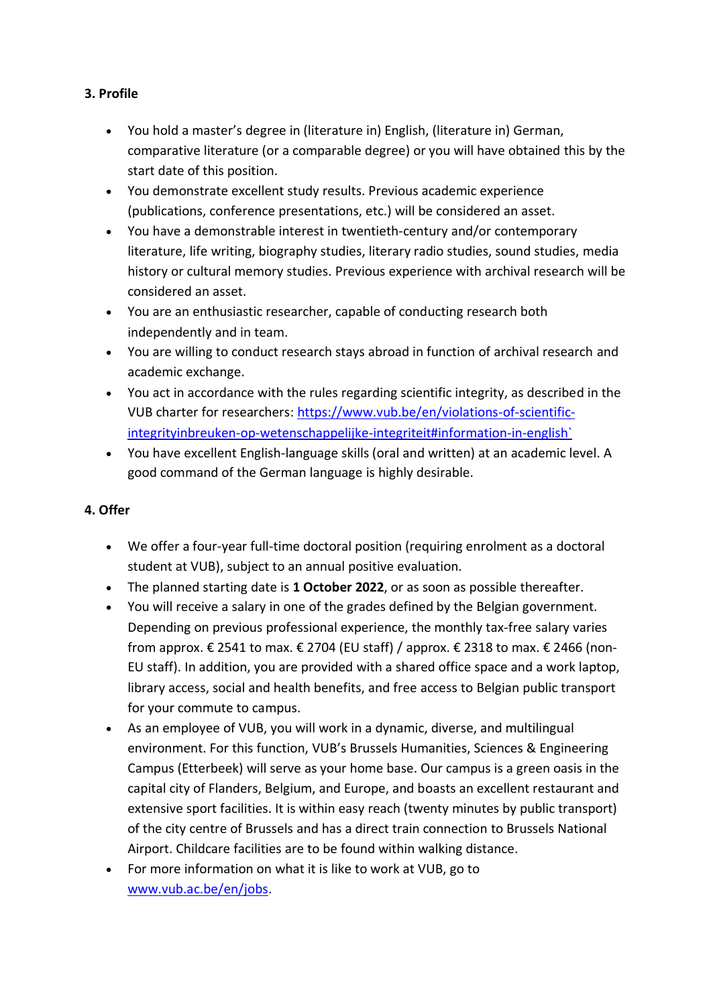### **3. Profile**

- You hold a master's degree in (literature in) English, (literature in) German, comparative literature (or a comparable degree) or you will have obtained this by the start date of this position.
- You demonstrate excellent study results. Previous academic experience (publications, conference presentations, etc.) will be considered an asset.
- You have a demonstrable interest in twentieth-century and/or contemporary literature, life writing, biography studies, literary radio studies, sound studies, media history or cultural memory studies. Previous experience with archival research will be considered an asset.
- You are an enthusiastic researcher, capable of conducting research both independently and in team.
- You are willing to conduct research stays abroad in function of archival research and academic exchange.
- You act in accordance with the rules regarding scientific integrity, as described in the VUB charter for researchers[: https://www.vub.be/en/violations-of-scientific](https://www.vub.be/en/violations-of-scientific-integrityinbreuken-op-wetenschappelijke-integriteit#information-in-english`)[integrityinbreuken-op-wetenschappelijke-integriteit#information-in-english`](https://www.vub.be/en/violations-of-scientific-integrityinbreuken-op-wetenschappelijke-integriteit#information-in-english`)
- You have excellent English-language skills (oral and written) at an academic level. A good command of the German language is highly desirable.

# **4. Offer**

- We offer a four-year full-time doctoral position (requiring enrolment as a doctoral student at VUB), subject to an annual positive evaluation.
- The planned starting date is **1 October 2022**, or as soon as possible thereafter.
- You will receive a salary in one of the grades defined by the Belgian government. Depending on previous professional experience, the monthly tax-free salary varies from approx.  $\epsilon$  2541 to max.  $\epsilon$  2704 (EU staff) / approx.  $\epsilon$  2318 to max.  $\epsilon$  2466 (non-EU staff). In addition, you are provided with a shared office space and a work laptop, library access, social and health benefits, and free access to Belgian public transport for your commute to campus.
- As an employee of VUB, you will work in a dynamic, diverse, and multilingual environment. For this function, VUB's Brussels Humanities, Sciences & Engineering Campus (Etterbeek) will serve as your home base. Our campus is a green oasis in the capital city of Flanders, Belgium, and Europe, and boasts an excellent restaurant and extensive sport facilities. It is within easy reach (twenty minutes by public transport) of the city centre of Brussels and has a direct train connection to Brussels National Airport. Childcare facilities are to be found within walking distance.
- For more information on what it is like to work at VUB, go to [www.vub.ac.be/en/jobs.](http://www.vub.ac.be/en/jobs)